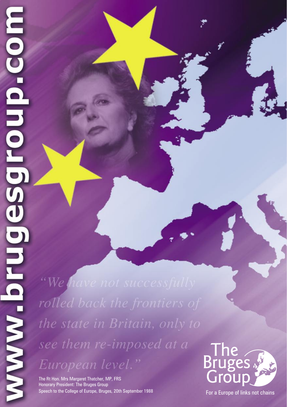"We have not successfully rolled back the frontiers of the state in Britain, only to see them re-imposed at a European level."

The Rt Hon. Mrs Margaret Thatcher, MP, FRS Honorary President: The Bruges Group Speech to the College of Europe, Bruges, 20th September 1988



For a Europe of links not chains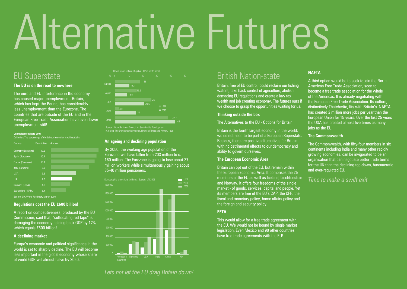# Alternative Futures

## EU Superstate

#### **The EU is on the road to nowhere**

The euro and EU interference in the economy has caused major unemployment. Britain, which has kept the Pound, has considerably less unemployment than the Eurozone. The countries that are outside of the EU and in the European Free Trade Association have even lower unemployment still!

#### **Unemployment Rate 2004**

Definition: The percentage of the Labour force that is without jobs

| Country            | <b>Description</b> | Amount |
|--------------------|--------------------|--------|
| Germany (Eurozone) | 10.6               |        |
| Spain (Eurozone)   | 10.4               |        |
| France (Eurozone)  | 10.1               |        |
| Italy (Eurozone)   | 8.6                |        |
| <b>USA</b>         | 5.5                |        |
| <b>UK</b>          | 4.8                |        |
| Norway (EFTA)      | 4.3                |        |
| Switzerland (EFTA) | 3.4                |        |
|                    |                    |        |

Irce: CIA World Factbook, March 20

#### **Regulations cost the EU £600 billion!**

A report on competitiveness, produced by the EU Commission, said that, "suffocating red tape" is damaging the economy holding back GDP by 12%, which equals £600 billion!

#### **A declining market**

Europe's economic and political significance in the world is set to sharply decline. The EU will become less important in the global economy whose share of world GDP will almost halve by 2050.



Source: World Business Council for Sustainable Development R. Cragg: The Demographic Investor, Financial Times and Pitman, 1998

#### **An ageing and declining population**

By 2050, the working age population of the Eurozone will have fallen from 203 million to c. 160 million. The Eurozone is going to lose about 27 million workers while simultaneously gaining about 35-40 million pensioners.



## British Nation-state

Britain, free of EU control, could reclaim our fishing waters, take back control of agriculture, abolish damaging EU regulations and create a low tax wealth and job creating economy. The futures ours if we choose to grasp the opportunities waiting for us.

#### **Thinking outside the box**

The Alternatives to the EU - Options for Britain

Britain is the fourth largest economy in the world: we do not need to be part of a European Superstate. Besides, there are positive alternatives for Britain with no detrimental effects to our democracy and ability to govern ourselves.

#### **The European Economic Area**

Britain can opt out of the EU, but remain within the European Economic Area. It comprises the 25 members of the EU as well as Iceland, Liechtenstein and Norway. It offers four freedoms of the single market - of goods, services, capital and people. Yet its members are free of the EU's CAP, the CFP, the fiscal and monetary policy, home affairs policy and the foreign and security policy.

#### **EFTA**

This would allow for a free trade agreement with the EU. We would not be bound by single market legislation. Even Mexico and 90 other countries have free trade agreements with the EU!

#### **NAFTA**

A third option would be to seek to join the North American Free Trade Association, soon to become a free trade association for the whole of the Americas. It is already negotiating with the European Free Trade Association. Its culture, distinctively Thatcherite, fits with Britain's. NAFTA has created 2 million more jobs per year than the European Union for 15 years. Over the last 25 years the USA has created almost five times as many iobs as the EU.

#### **The Commonwealth**

The Commonwealth, with fifty-four members in six continents including India and many other rapidly growing economies, can be invigorated to be an organisation that can negotiate better trade terms for the UK than the declining top-down, bureaucratic and over-regulated EU.

#### *Time to make a swift exit*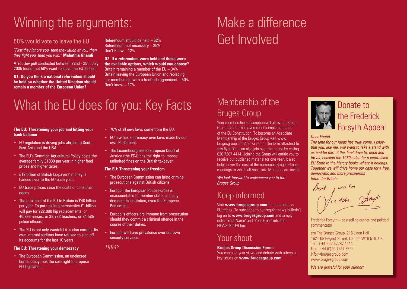# Winning the arguments:

#### 50% would vote to leave the EU

*"First they ignore you, then they laugh at you, then they fight you, then you win."* **Mahatma Ghandi**

A YouGov poll conducted between 22nd - 25th July 2005 found that 50% want to leave the EU. It said:

**Q1. Do you think a national referendum should be held on whether the United Kingdom should remain a member of the European Union?**

Referendum should be held – 62% Referendum not necessary – 25% Don't Know – 12%

**Q2. If a referendum were held and these were the available options, which would you choose?** Britain remaining a member of the EU – 34% Britain leaving the European Union and replacing our membership with a freetrade agreement – 50% Don't know – 17%

## What the EU does for you: Key Facts

#### **The EU: Threatening your job and hitting your bank balance**

- EU regulation is driving jobs abroad to South-East Asia and the USA.
- The EU's Common Agricultural Policy costs the average family £1000 per year in higher food prices and higher taxes.
- £12 billion of British taxpayers' money is handed over to the EU each year.
- EU trade polices raise the costs of consumer goods.
- The total cost of the EU to Britain is £40 billion per year. To put this into perspective £1 billion will pay for 222,000 hip replacements, or 46,893 nurses, or 38,782 teachers, or 34,585 police officers!
- The EU is not only wasteful it is also corrupt. Its own internal auditors have refused to sign off its accounts for the last 10 years.

#### **The EU: Threatening your democracy**

• The European Commission, an unelected bureaucracy, has the sole right to propose EU legislation.

- 70% of all new laws come from the EU.
- EU law has supremacy over laws made by our own Parliament.
- The Luxembourg based European Court of Justice (the ECJ) has the right to impose unlimited fines on the British taxpayer.

#### **The EU: Threatening your freedom**

- The European Commission can bring criminal prosecutions against British citizens.
- Europol (the European Police Force) is unaccountable to member states and any democratic institution, even the European Parliament.
- Europol's officers are immune from prosecution should they commit a criminal offence in the course of their duties.
- Europol will have prevalence over our own security services.

*1984?*

# Make a difference Get Involved

### Membership of the Bruges Group

Your membership subscription will allow the Bruges Group to fight the government's implementation of the EU Constitution. To become an Associate Membership of the Bruges Group visit www. brugesgroup.com/join or return the form attached to this flyer. You can also join over the phone by calling 020 7287 4414. Joining the Group will entitle you to receive our published material for one year. It also helps cover the cost of the numerous Bruges Group meetings to which all Associate Members are invited.

*We look forward to welcoming you to the Bruges Group* 

## Keep informed

Visit **www.brugesgroup.com** for comment on EU affairs. To subscribe to our regular news bulletin's log on to **www.brugesgroup.com** and simply enter 'Your Name' and 'Your Email' into the NEWSLETTER box.

### Your shout

**Bruges Group Discussion Forum** You can post your views and debate with others on key issues on **www.brugesgroup.com**.



#### *Dear Friend,*

*The time for our ideas has truly come. I know that you, like me, will want to take a stand with us and be part of this final drive to, once and for all, consign the 1950s idea for a centralised EU State to the history books where it belongs. Together we will drive home our case for a free, democratic and more prosperous future for Britain.*

Meddie 1

Frederick Forsyth – bestselling author and political commentator

c/o The Bruges Group, 216 Linen Hall 162-168 Regent Street, London W1B 5TB, UK Tel: +44 (0)20 7287 4414  $Fax: +44(0)2072875522$ info@brugesgroup.com www.brugesgroup.com

*We are grateful for your support*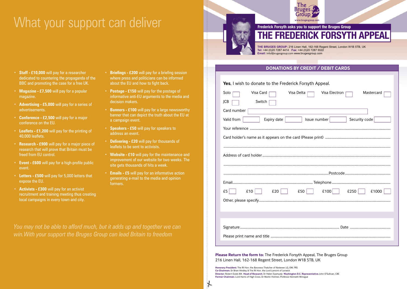## What your support can deliver



**Frederick Forsyth asks you to support the Bruges Group THE FREDERICK FORSYTH APPEAL**

**THE BRUGES GROUP:** 216 Linen Hall, 162-168 Regent Street, London W1B 5TB, UK **Tel:** +44 (0)20 7287 4414 **Fax:** +44 (0)20 7287 5522 **Email:** info@brugesgroup.com www.brugesgroup.com

**DONATIONS BY CREDIT / DEBIT CARDS**

**Yes**, I wish to donate to the Frederick Forsyth Appeal.

| <b>res.</b> I wish to donate to the Frederick Forsyth Appeal.  |
|----------------------------------------------------------------|
| Visa Delta<br>Visa Electron<br>Visa Card<br>Mastercard<br>Solo |
| Switch<br>JCB                                                  |
| Card number                                                    |
| Security code<br>Valid from<br>Issue number<br>Expiry date     |
|                                                                |
|                                                                |
|                                                                |
|                                                                |
|                                                                |
|                                                                |
|                                                                |
| £50<br>£100<br>£5<br>£10<br>£20<br>£250<br>£1000               |
|                                                                |
|                                                                |
|                                                                |
|                                                                |
|                                                                |
|                                                                |

**Please Return the form to:** The Frederick Forsyth Appeal, The Bruges Group 216 Linen Hall, 162-168 Regent Street, London W1B 5TB, UK

**Honorary President:** The Rt Hon. the Baroness Thatcher of Kesteven LG, OM, FRS **Co-Chairmen:** Dr Brian Hindley & The Rt Hon. the Lord Lamont of Lerwick **Director:** Robert Oulds MA **Head of Research:** Dr Helen Szamuely **Washington D.C. Representative:** John O'Sullivan, CBE **Former Chairmen:** Lord Harris of High Cross, Dr Martin Holmes, Professor Kenneth Minogue

 $\mathcal{A}$ 

- **Staff £10,000** will pay for a researcher dedicated to countering the propaganda of the BBC and promoting the case for a free UK.
- **Magazine £7,500** will pay for a popular magazine.
- **Advertising £5,000** will pay for a series of advertisements.
- **Conference £2,500** will pay for a major conference on the EU.
- **Leaflets £1,200** will pay for the printing of 40,000 leaflets.
- **Research £900** will pay for a major piece of research that will prove that Britain must be freed from EU control.
- **Event £600** will pay for a high-profile public event.
- **Letters £500** will pay for 5,000 letters that expose the EU.
- **Activists £300** will pay for an activist recruitment and training meeting thus creating local campaigns in every town and city.
- **Briefings £200** will pay for a briefing session where press and politicians can be informed about the EU and how to fight back.
- **Postage £150** will pay for the postage of informative anti-EU arguments to the media and decision makers.
- **Banners £100** will pay for a large newsworthy banner that can depict the truth about the EU at a campaign event.
- **Speakers £50** will pay for speakers to address an event.
- **Delivering £20** will pay for thousands of leaflets to be sent to activists.
- **Website £10** will pay for the maintenance and improvement of our website for two weeks. The site gets thousands of hits a week.
- **Emails £5** will pay for an informative action generating e-mail to the media and opinion formers.

*You may not be able to afford much, but it adds up and together we can win.With your support the Bruges Group can lead Britain to freedom*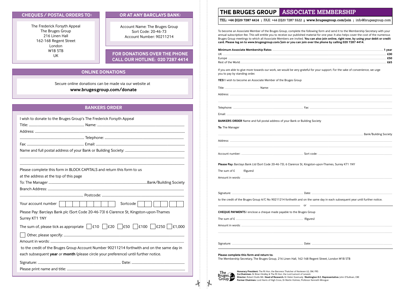#### **CHEOUES / POSTAL ORDERS TO:**

The Frederick Forsyth Appeal The Bruges Group 216 Linen Hall 162-168 Regent Street London W1B 5TB **TIK** 

#### **OR AT ANY BARCLAYS BANK:**

Account Name: The Bruges Group Sort Code: 20-46-73 Account Number: 90211214

#### FOR DONATIONS OVER THE PHONE **CALL OUR HOTLINE: 020 7287 4414**

#### **ONLINE DONATIONS**

Secure online donations can be made via our website at www.brugesgroup.com/donate

#### **BANKERS ORDER**

| I wish to donate to the Bruges Group's The Frederick Forsyth Appeal                                           |
|---------------------------------------------------------------------------------------------------------------|
|                                                                                                               |
|                                                                                                               |
|                                                                                                               |
|                                                                                                               |
|                                                                                                               |
|                                                                                                               |
|                                                                                                               |
| Please complete this form in BLOCK CAPITALS and return this form to us                                        |
| at the address at the top of this page                                                                        |
|                                                                                                               |
|                                                                                                               |
|                                                                                                               |
| Your account number  <br>Sortcode                                                                             |
| Please Pay: Barclays Bank plc (Sort Code 20-46-73) 6 Clarence St, Kingston-upon-Thames                        |
| Surrey KT1 1NY                                                                                                |
| The sum of, please tick as appropriate $\Box$ £10 $\Box$ £20 $\Box$ £50 $\Box$ £100 $\Box$ £250 $\Box$ £1,000 |
|                                                                                                               |
|                                                                                                               |
| to the credit of the Bruges Group Account Number 90211214 forthwith and on the same day in                    |
| each subsequent year or month (please circle your preference) until further notice.                           |
|                                                                                                               |
|                                                                                                               |

#### THE BRUGES GROUP ASSOCIATE MEMBERSHIP

TEL: +44 (0)20 7287 4414 | FAX: +44 (0)20 7287 5522 | www.brugesgroup.com/join | info@brugesgroup.com

To become an Associate Member of the Bruges Group, complete the following form and send it to the Membership Secretary with your annual subscription fee. This will entitle you to receive our published material for one year. It also helps cover the cost of the numerous Bruges Group meetings to which all Associate Members are invited. You can also join online, right now, by using your debit or credit card. Please log on to www.brugesgroup.com/join or you can join over the phone by calling 020 7287 4414.

| Minimum Associate Membership Rates<br>vear |  |
|--------------------------------------------|--|
| Uŀ                                         |  |
|                                            |  |
| Rest of the World                          |  |

If you are able to give more towards our work, we would be very grateful for your support. For the sake of convenience, we urge vou to pay by standing order.

YES! I wish to become an Associate Member of the Bruges Group

|                           | <b>BANKERS ORDER</b> Name and full postal address of your Bank or Building Society                                                  |
|---------------------------|-------------------------------------------------------------------------------------------------------------------------------------|
| To: The Manager           |                                                                                                                                     |
|                           | Bank/Building Society و Bank/Building Society                                                                                       |
|                           |                                                                                                                                     |
|                           |                                                                                                                                     |
|                           | Please Pay: Barclays Bank Ltd (Sort Code 20-46-73), 6 Clarence St, Kingston-upon-Thames, Surrey KT1 1NY                             |
| The sum of £<br>(figures) |                                                                                                                                     |
|                           |                                                                                                                                     |
|                           |                                                                                                                                     |
|                           | to the credit of the Bruges Group A/C No 90211214 forthwith and on the same day in each subsequent year until further notice.<br>or |
|                           | CHEQUE PAYMENTS I enclose a cheque made payable to the Bruges Group                                                                 |
|                           |                                                                                                                                     |
|                           |                                                                                                                                     |
|                           |                                                                                                                                     |

Please complete this form and return to:

The Membership Secretary. The Bruges Group. 216 Linen Hall. 162-168 Regent Street. London W1B 5TB



 $\lambda$ 

 $\frac{1}{2}$ 

Honorary President: The Rt Hon. the Baroness Thatcher of Kesteven LG, OM, FRS The Co-Chairmen: Dr Brian Hindley & The Rt Hon. the Lord Lamont of Lerwick<br>Bruges Man Director: Robert Oulds MA Head of Research: Dr Helen Szamuely Washington D.C. Representative: John O'Sullivan, CBE<br>GrOUPLE Former Chairm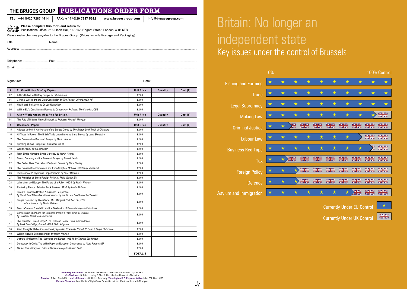|               | TEL: +44 (0)20 7287 4414                                                                            | www.brugesgroup.com                                                                     | info@brugesgroup.com |          |                                                                                                                                                                                                                                |
|---------------|-----------------------------------------------------------------------------------------------------|-----------------------------------------------------------------------------------------|----------------------|----------|--------------------------------------------------------------------------------------------------------------------------------------------------------------------------------------------------------------------------------|
|               | The Please complete this form and return to:<br>Bruges Publications Office, 216 Linen Hall, 162-168 | Publications Office, 216 Linen Hall, 162-168 Regent Street, London W1B 5TB              |                      |          |                                                                                                                                                                                                                                |
|               |                                                                                                     | Please make cheques payable to the Bruges Group. (Prices Include Postage and Packaging) |                      |          |                                                                                                                                                                                                                                |
|               |                                                                                                     |                                                                                         |                      |          |                                                                                                                                                                                                                                |
|               |                                                                                                     |                                                                                         |                      |          |                                                                                                                                                                                                                                |
|               |                                                                                                     |                                                                                         |                      |          |                                                                                                                                                                                                                                |
|               |                                                                                                     |                                                                                         |                      |          |                                                                                                                                                                                                                                |
|               |                                                                                                     |                                                                                         |                      |          |                                                                                                                                                                                                                                |
|               |                                                                                                     |                                                                                         |                      |          |                                                                                                                                                                                                                                |
|               |                                                                                                     |                                                                                         |                      |          |                                                                                                                                                                                                                                |
|               |                                                                                                     |                                                                                         |                      |          | Date: experience and a series of the series of the series of the series of the series of the series of the series of the series of the series of the series of the series of the series of the series of the series of the ser |
|               |                                                                                                     |                                                                                         |                      |          |                                                                                                                                                                                                                                |
| #             | <b>EU Constitution Briefing Papers</b>                                                              |                                                                                         | <b>Unit Price</b>    | Quantity | Cost(E)                                                                                                                                                                                                                        |
| 02            | A Constitution to Destroy Europe by Bill Jamieson                                                   |                                                                                         | £2.00                |          |                                                                                                                                                                                                                                |
| 04            |                                                                                                     | Criminal Justice and the Draft Constitution by The Rt Hon. Oliver Letwin, MP            | £2.00                |          |                                                                                                                                                                                                                                |
| 05            | Health and the Nation by Dr Lee Rotherham                                                           |                                                                                         | £2.00                |          |                                                                                                                                                                                                                                |
|               |                                                                                                     | Will the EU's Constitutuion Rescue its Currency by Professor Tim Congdon, OBE           | £2.00                |          |                                                                                                                                                                                                                                |
|               |                                                                                                     |                                                                                         |                      |          |                                                                                                                                                                                                                                |
|               | A New World Order: What Role for Britain?                                                           |                                                                                         | <b>Unit Price</b>    | Quantity | Cost(E)                                                                                                                                                                                                                        |
| 06<br>#<br>01 | The Fate of Britain's Natonal Interest by Professor Kenneth Minoque                                 |                                                                                         | £2.00                |          |                                                                                                                                                                                                                                |
| #             | <b>Occasional Papers</b>                                                                            |                                                                                         | <b>Unit Price</b>    | Quantity | Cost(E)                                                                                                                                                                                                                        |

16 All Those in Favour: The British Trade Union Movement and Europe *by John Sheldrake* £2.00 17 The Conservative Party and Europe *by Martin Holmes* **EQUAL CONSERVATION EQUAL CONSERVATION EQUAL CONSERVATION** 18 Speaking Out on Europe by Christopher Gill MP **E2.00 E2.00** 19 Worlds Apart? *by Bill Jamieson* £2.00 20 From Single Market to Single Currency *by Martin Holmes* £2.00 21 Delors, Germany and the Future of Europe *by Russell Lewis* **EXALLER 1999** Delors, Germany and the Future of Europe *by Russell Lewis* 22 The Party's Over: The Labour Party and Europe *by Chris Rowley* **Example 2008** E2.00 23 The Conservative Conference and Euro–Sceptical Motions 1992-95 *by Martin Ball* **E2.00** £2.00 26 Professor A.J.P. Taylor on Europe foreword *by Peter Obourne* £2.00 27 The Principles of British Foreign Policy by Philip Vander Elst **Example 2008** £2.00 28 John Major and Europe: The Failure of a Policy 1990-7 by Martin Holmes **1990-7 1990** 30 Reviewing Europe: Selected Book Reviews1991-7 *by Martin Holmes* £2.00

*by Sir Michael Edwardes with a foreword by the Rt Hon. Lord Lamont of Lerwick* £2.00

*by Jonathan Collett and Martin Ball* £2.00

Ine Bank that Kules Europe? The ECB and Central Bank Independence<br>by Mark Baimbridge, Brian Burkitt & Philip Whyman Alien Thoughts: Reflections on Identity *by Helen Szamuely, Robert W. Cahn & Yahya El-Droubie* £2.00 William Hague's European Policy *by Martin Holmes* £2.00 Ultimate Vindication: The Spectator and Europe 1966-79 *by Thomas Teodorczuk* £2.00 Democracy in Crisis: The White Paper on European Governance *by Nigel Farage MEP* £2.00 Galileo: The Military and Political Dimensions *by Dr Richard North* £2.00

*with a foreword by Ine KL Hon. MIS. Margaret Thatcher, OM, FRS,***<br>with a foreword by Martin Holmes <b>Example 2008** 35 Franco-German Friendship and the Destination of Federalism *by Martin Holmes* £2.00

32 Britain's Economic Destiny: A Business Perspective<br>by Sir Michael Education with a famouard by the Dt I

<sup>34</sup> Bruges Revisited *by The Rt Hon. Mrs. Margaret Thatcher, OM, FRS,*

36 Conservative MEPs and the European People's Party: Time for Divorce

<sup>37</sup> The Bank that Rules Europe? The ECB and Central Bank Independence

| Britain: No longer an |
|-----------------------|
| independent state     |
| $\mathbf{1}$          |

Key issues under the control of Brussels



Currently Under EU Control

Currently Under UK Control

 $\frac{N}{N}$ 

**Honorary President:** The Rt Hon. the Baroness Thatcher of Kesteven LG, OM, FRS **Co-Chairmen:** Dr Brian Hindley & The Rt Hon. the Lord Lamont of Lerwick **Director:** Robert Oulds MA **Head of Research:** Dr Helen Szamuely **Washington D.C. Representative:** John O'Sullivan, CBE **Former Chairmen:** Lord Harris of High Cross, Dr Martin Holmes, Professor Kenneth Minogue

TOTAL £

-k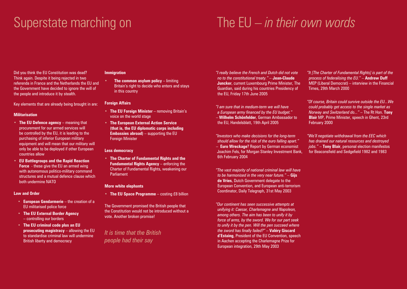## Superstate marching on

# The EU – *in their own words*

Did you think the EU Constitution was dead? Think again. Despite it being rejected in two referenda in France and the Netherlands the EU and the Government have decided to ignore the will of the people and introduce it by stealth.

Key elements that are already being brought in are:

#### **Militarisation**

- **The EU Defence agency**  meaning that procurement for our armed services will be controlled by the EU, it is leading to the purchasing of inferior European military equipment and will mean that our military will only be able to be deployed if other European countries allow
- **EU Battlegroups and the Rapid Reaction Force** - these give the EU an armed wing with autonomous politico-military command structures and a mutual defence clause which both undermine NATO

#### **Law and Order**

- **European Gendarmerie** the creation of a EU militarised police force
- **The EU External Border Agency**  – controlling our borders
- **The EU criminal code plus an EU prosecuting magistracy** – allowing the EU to standardise criminal law will undermine British liberty and democracy

#### **Immigration**

**The common asylum policy – limiting** Britain's right to decide who enters and stays in this country

#### **Foreign Affairs**

- **The EU Foreign Minister**  removing Britain's voice on the world stage
- **The European External Action Service (that is, the EU diplomatic corps including Embassies abroad)** – supporting the EU Foreign Minister

#### **Less democracy**

• **The Charter of Fundamental Rights and the Fundamental Rights Agency** – enforcing the Charter of Fundamental Rights, weakening our Parliament

#### **More white elephants**

• **The EU Space Programme** – costing £8 billion

The Government promised the British people that the Constitution would not be introduced without a vote. Another broken promise!

*It is time that the British people had their say*

*"I really believe the French and Dutch did not vote no to the constitutional treaty." –* **Jean-Claude Juncker**, current Luxembourg Prime Minister, The Guardian, said during his countries Presidency of the EU, Friday 17th June 2005

*"I am sure that in medium-term we will have a European army financed by the EU budget."*  – **Wilhelm Schönfelder**, German Ambassador to the EU, Handelsblatt, 19th April 2005

*"Investors who make decisions for the long-term should allow for the risk of the euro falling apart."*  – **Euro Wreckage**? Report by German economist Joachim Fels, for Morgan Stanley Investment Bank,

6th February 2004

*"The vast majority of national criminal law will have to be harmonised in the very near future."* – **Gijs de Vries**, Dutch Government delegate to the European Convention, and European anti-terrorism Coordinator, Daily Telegraph, 31st May 2003

*"Our continent has seen successive attempts at unifying it: Caesar, Charlemagne and Napoleon, among others. The aim has been to unify it by force of arms, by the sword. We for our part seek to unify it by the pen. Will the pen succeed where the sword has finally failed?"* – **Valéry Giscard d'Estaing**, President of the EU Convention, speech in Aachen accepting the Charlemagne Prize for European integration, 29th May 2003

*"It [The Charter of Fundamental Rights] is part of the process of federalising the EU."* – **Andrew Duff**  MEP (Liberal Democrat) – interview in the Financial Times, 29th March 2000

*"Of course, Britain could survive outside the EU...We could probably get access to the single market as Norway and Switzerland do..."* – The Rt Hon. **Tony Blair** MP, Prime Minister, speech in Ghent, 23rd February 2000

*"We'll negotiate withdrawal from the EEC which has drained our natural resources and destroyed jobs."* – **Tony Blair**, personal election manifestos for Beaconsfield and Sedgefield 1982 and 1983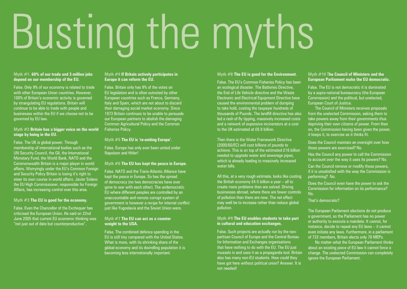# Busting the myths

#### **Myth #1. 60% of our trade and 3 million jobs depend on our membership of the EU.**

False. Only 9% of our economy is related to trade with other European Union countries. However, 100% of Britain's economic activity is governed by strangulating EU regulations. Britain will continue to be able to trade with people and businesses within the EU if we choose not to be governed by EU law.

#### **Myth #2 Britain has a bigger voice on the world stage by being in the EU.**

False. The UK is global power. Through membership of international bodies such as the UN Security Council, the G8, the International Monetary Fund, the World Bank, NATO and the Commonwealth Britain is a major player in world affairs. Worryingly under the EU's Common Foreign and Security Policy Britain is losing it's right to steer its own course in world affairs. Javier Solano the EU High Commissioner, responsible for Foreign Affairs, has increasing control over this area.

#### **Myth #3 The EU is good for the economy.**

False. Even the Chancellor of the Exchequer has criticised the European Union. He said on 22nd June 2005 that current EU economic thinking was "not just out of date but counterproductive".

#### **Myth #4 If Britain actively participates in Europe it can reform the EU.**

False. Britain only has 9% of the votes on EU legislation and is often outvoted by other European countries such as France, Germany, Italy and Spain, which are not about to discard their damaging social market economy. Since 1973 Britain continues to be unable to persuade our European partners to abolish the damaging Common Agricultural Policy and the Common Fisheries Policy.

#### **Myth #5 The EU is 're-uniting Europe'.**

False. Europe has only ever been united under Napoleon and Hitler!

#### **Myth #6 The EU has kept the peace in Europe.**

False. NATO and the Trans-Atlantic Alliance have kept the peace in Europe. So has the spread of democracy (no two democracies have ever gone to war with each other). The undemocratic EU where different peoples are controlled by an unaccountable and remote corrupt system of government is however a recipe for internal conflict just like Yugoslavia and the Soviet Union were.

#### **Myth #7 The EU can act as a counter weight to the USA.**

False. The combined defence spending in the EU is still tiny compared with the United States. What is more, with its shrinking share of the global economy and its dwindling population it is becoming less internationally important.

#### **Myth #8 The EU is good for the Environment.**

False. The EU's Common Fisheries Policy has been an ecological disaster. The Batteries Directive, the End of Life Vehicle directive and the Waste Electronic and Electrical Equipment Directive have caused the environmental problem of dumping to take hold, costing the taxpayer hundreds of thousands of Pounds. The landfill directive has also led a rash of fly tipping, massively increased costs and a network of expensive incinerators at a cost to the UK estimated at £6.9 billion.

Then there is the Water Framework Directive (2000/60/EC) will cost billions of pounds to achieve. This is on top of the estimated £16 billion needed to upgrade water and sewerage pipes. which is already leading to massively increased water bills.

All this, at a very rough estimate, looks like costing the British economy £4-5 billion a year – all to create more problems than are solved. Driving businesses abroad, where there are fewer controls of pollution than there are now. The net effect may well be to increase rather than reduce global pollution.

#### **Myth #9 The EU enables students to take part in cultural and education exchanges.**

False. Such projects are actually run by the nonpartisan Council of Europe and the Central Bureau for Information and Exchanges organisations that have nothing to do with the EU. The EU just mussels in and uses it as a propaganda tool. Britain also has many non-EU students. How could they have got here without political union? Answer. It is not needed!

#### **Myth #10** T**he Council of Ministers and the European Parliament make the EU democratic.**

False. The EU is not democratic it is dominated by a supra-national bureaucracy (the European Commission) and the political, but unelected, European Court of Justice.

The Council of Ministers receives proposals from the unelected Commission, asking them to take powers away from their governments thus depriving their own citizens of power. From then on, the Commission having been given the power, it keeps it, to exercise as it thinks fit.

Does the Council maintain an oversight over how those powers are exercised? No.

Has the Council any power to call the Commission to account over the way it uses its powers? No.

Can the Council remove or modify those powers, if it is unsatisfied with the way the Commission is performing? No.

Does the Council even have the power to ask the Commission for information on its performance? No.

That's democratic?

The European Parliament elections do not produce a government, so the Parliament has no power or authority to execute a mandate. It cannot, for instance, decide to repeal any EU laws – it cannot even initiate any laws. Furthermore, in a parliament of 732 members, Britain elects only 78 MEPs.

No matter what the European Parliament thinks about an existing piece of EU law it cannot force a change. The unelected Commission can completely ignore the European Parliament.